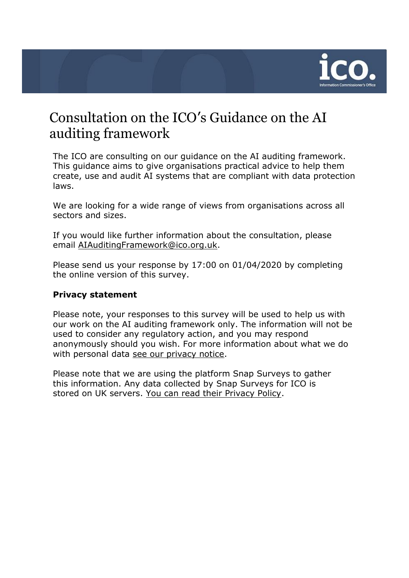

## Consultation on the ICO's Guidance on the AI auditing framework

The ICO are consulting on our guidance on the AI auditing framework. This guidance aims to give organisations practical advice to help them create, use and audit AI systems that are compliant with data protection laws.

We are looking for a wide range of views from organisations across all sectors and sizes.

If you would like further information about the consultation, please email [AIAuditingFramework@ico.org.uk.](mailto:AIAuditingFramework@ico.org.uk)

Please send us your response by 17:00 on 01/04/2020 by completing the online version of this survey.

## **Privacy statement**

Please note, your responses to this survey will be used to help us with our work on the AI auditing framework only. The information will not be used to consider any regulatory action, and you may respond anonymously should you wish. For more information about what we do with personal data [see our privacy notice.](https://ico.org.uk/global/privacy-notice/)

Please note that we are using the platform Snap Surveys to gather this information. Any data collected by Snap Surveys for ICO is stored on UK servers. [You can read their Privacy Policy.](https://www.snapsurveys.com/survey-software/privacy-policy-uk/)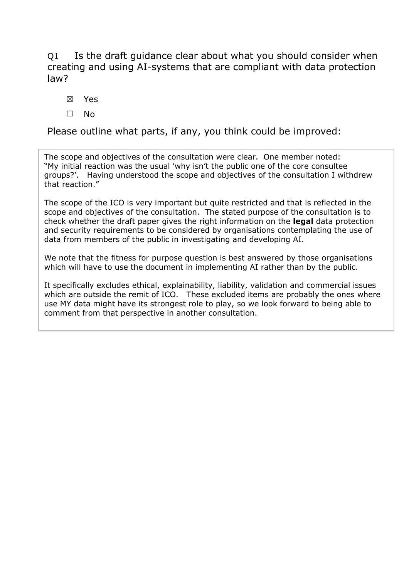Q1 Is the draft guidance clear about what you should consider when creating and using AI-systems that are compliant with data protection law?

- ☒ Yes
- ☐ No

Please outline what parts, if any, you think could be improved:

The scope and objectives of the consultation were clear. One member noted: "My initial reaction was the usual 'why isn't the public one of the core consultee groups?'. Having understood the scope and objectives of the consultation I withdrew that reaction."

The scope of the ICO is very important but quite restricted and that is reflected in the scope and objectives of the consultation. The stated purpose of the consultation is to check whether the draft paper gives the right information on the **legal** data protection and security requirements to be considered by organisations contemplating the use of data from members of the public in investigating and developing AI.

We note that the fitness for purpose question is best answered by those organisations which will have to use the document in implementing AI rather than by the public.

It specifically excludes ethical, explainability, liability, validation and commercial issues which are outside the remit of ICO. These excluded items are probably the ones where use MY data might have its strongest role to play, so we look forward to being able to comment from that perspective in another consultation.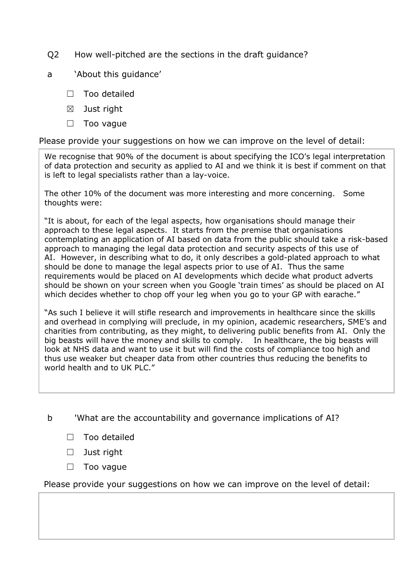- Q2 How well-pitched are the sections in the draft guidance?
- a 'About this guidance'
	- □ Too detailed
	- $\boxtimes$  Just right
	- ☐ Too vague

Please provide your suggestions on how we can improve on the level of detail:

We recognise that 90% of the document is about specifying the ICO's legal interpretation of data protection and security as applied to AI and we think it is best if comment on that is left to legal specialists rather than a lay-voice.

The other 10% of the document was more interesting and more concerning. Some thoughts were:

"It is about, for each of the legal aspects, how organisations should manage their approach to these legal aspects. It starts from the premise that organisations contemplating an application of AI based on data from the public should take a risk-based approach to managing the legal data protection and security aspects of this use of AI. However, in describing what to do, it only describes a gold-plated approach to what should be done to manage the legal aspects prior to use of AI. Thus the same requirements would be placed on AI developments which decide what product adverts should be shown on your screen when you Google 'train times' as should be placed on AI which decides whether to chop off your leg when you go to your GP with earache."

"As such I believe it will stifle research and improvements in healthcare since the skills and overhead in complying will preclude, in my opinion, academic researchers, SME's and charities from contributing, as they might, to delivering public benefits from AI. Only the big beasts will have the money and skills to comply. In healthcare, the big beasts will look at NHS data and want to use it but will find the costs of compliance too high and thus use weaker but cheaper data from other countries thus reducing the benefits to world health and to UK PLC."

b 'What are the accountability and governance implications of AI?

- ☐ Too detailed
- ☐ Just right
- ☐ Too vague

Please provide your suggestions on how we can improve on the level of detail: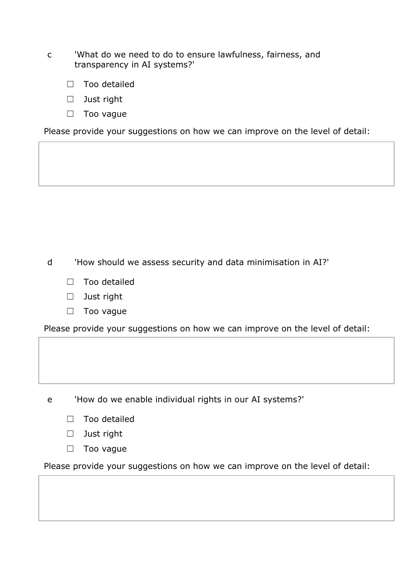- c 'What do we need to do to ensure lawfulness, fairness, and transparency in AI systems?'
	- ☐ Too detailed
	- ☐ Just right
	- □ Too vague

Please provide your suggestions on how we can improve on the level of detail:

d 'How should we assess security and data minimisation in AI?'

- ☐ Too detailed
- ☐ Just right
- □ Too vague

Please provide your suggestions on how we can improve on the level of detail:

e 'How do we enable individual rights in our AI systems?'

- □ Too detailed
- ☐ Just right
- □ Too vague

Please provide your suggestions on how we can improve on the level of detail: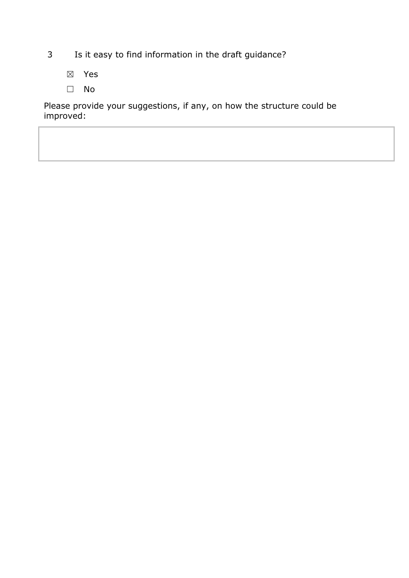- 3 Is it easy to find information in the draft guidance?
	- ☒ Yes
	- ☐ No

Please provide your suggestions, if any, on how the structure could be improved: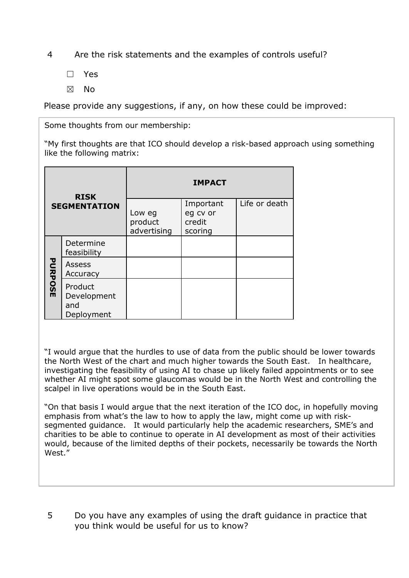4 Are the risk statements and the examples of controls useful?

- ☐ Yes
- ☒ No

Please provide any suggestions, if any, on how these could be improved:

Some thoughts from our membership:

"My first thoughts are that ICO should develop a risk-based approach using something like the following matrix:

| <b>RISK</b><br><b>SEGMENTATION</b> |                                             | <b>IMPACT</b>                    |                                            |               |
|------------------------------------|---------------------------------------------|----------------------------------|--------------------------------------------|---------------|
|                                    |                                             | Low eg<br>product<br>advertising | Important<br>eg cv or<br>credit<br>scoring | Life or death |
| <b>PURPOSE</b>                     | Determine<br>feasibility                    |                                  |                                            |               |
|                                    | Assess<br>Accuracy                          |                                  |                                            |               |
|                                    | Product<br>Development<br>and<br>Deployment |                                  |                                            |               |

"I would argue that the hurdles to use of data from the public should be lower towards the North West of the chart and much higher towards the South East. In healthcare, investigating the feasibility of using AI to chase up likely failed appointments or to see whether AI might spot some glaucomas would be in the North West and controlling the scalpel in live operations would be in the South East.

"On that basis I would argue that the next iteration of the ICO doc, in hopefully moving emphasis from what's the law to how to apply the law, might come up with risksegmented guidance. It would particularly help the academic researchers, SME's and charities to be able to continue to operate in AI development as most of their activities would, because of the limited depths of their pockets, necessarily be towards the North West."

5 Do you have any examples of using the draft guidance in practice that you think would be useful for us to know?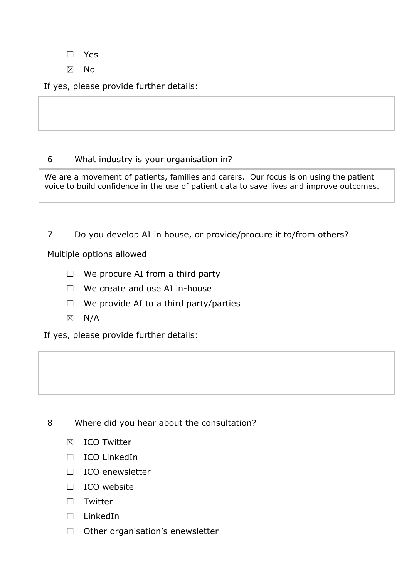☐ Yes

☒ No

If yes, please provide further details:

## 6 What industry is your organisation in?

We are a movement of patients, families and carers. Our focus is on using the patient voice to build confidence in the use of patient data to save lives and improve outcomes.

7 Do you develop AI in house, or provide/procure it to/from others?

Multiple options allowed

- $\Box$  We procure AI from a third party
- $\Box$  We create and use AI in-house
- $\Box$  We provide AI to a third party/parties
- $\boxtimes$  N/A

If yes, please provide further details:



- ☒ ICO Twitter
- ☐ ICO LinkedIn
- ☐ ICO enewsletter
- ☐ ICO website
- ☐ Twitter
- ☐ LinkedIn
- □ Other organisation's enewsletter